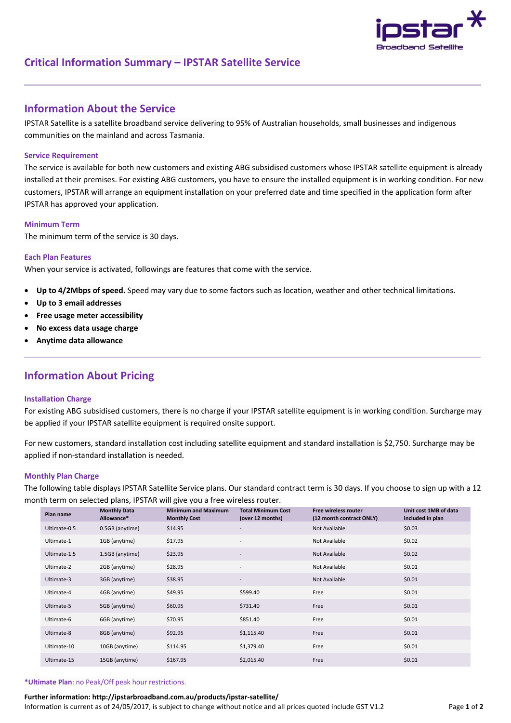

# **Critical Information Summary – IPSTAR Satellite Service**

## **Information About the Service**

IPSTAR Satellite is a satellite broadband service delivering to 95% of Australian households, small businesses and indigenous communities on the mainland and across Tasmania.

## **Service Requirement**

The service is available for both new customers and existing ABG subsidised customers whose IPSTAR satellite equipment is already installed at their premises. For existing ABG customers, you have to ensure the installed equipment is in working condition. For new customers, IPSTAR will arrange an equipment installation on your preferred date and time specified in the application form after IPSTAR has approved your application.

### **Minimum Term**

The minimum term of the service is 30 days.

#### **Each Plan Features**

When your service is activated, followings are features that come with the service.

- **Up to 4/2Mbps of speed.** Speed may vary due to some factors such as location, weather and other technical limitations.
- **Up to 3 email addresses**
- **Free usage meter accessibility**
- **No excess data usage charge**
- **Anytime data allowance**

## **Information About Pricing**

#### **Installation Charge**

For existing ABG subsidised customers, there is no charge if your IPSTAR satellite equipment is in working condition. Surcharge may be applied if your IPSTAR satellite equipment is required onsite support.

For new customers, standard installation cost including satellite equipment and standard installation is \$2,750. Surcharge may be applied if non-standard installation is needed.

#### **Monthly Plan Charge**

The following table displays IPSTAR Satellite Service plans. Our standard contract term is 30 days. If you choose to sign up with a 12 month term on selected plans, IPSTAR will give you a free wireless router.

| Plan name    | <b>Monthly Data</b><br>Allowance* | <b>Minimum and Maximum</b><br><b>Monthly Cost</b> | <b>Total Minimum Cost</b><br>(over 12 months) | <b>Free wireless router</b><br>(12 month contract ONLY) | Unit cost 1MB of data<br>included in plan |
|--------------|-----------------------------------|---------------------------------------------------|-----------------------------------------------|---------------------------------------------------------|-------------------------------------------|
| Ultimate-0.5 | 0.5GB (anytime)                   | \$14.95                                           | $\overline{\phantom{a}}$                      | Not Available                                           | \$0.03                                    |
| Ultimate-1   | 1GB (anytime)                     | \$17.95                                           | $\overline{\phantom{a}}$                      | Not Available                                           | \$0.02                                    |
| Ultimate-1.5 | 1.5GB (anytime)                   | \$23.95                                           | $\overline{\phantom{a}}$                      | Not Available                                           | \$0.02\$                                  |
| Ultimate-2   | 2GB (anytime)                     | \$28.95                                           | $\overline{\phantom{a}}$                      | Not Available                                           | \$0.01                                    |
| Ultimate-3   | 3GB (anytime)                     | \$38.95                                           | $\overline{\phantom{a}}$                      | Not Available                                           | \$0.01                                    |
| Ultimate-4   | 4GB (anytime)                     | \$49.95                                           | \$599.40                                      | Free                                                    | \$0.01                                    |
| Ultimate-5   | 5GB (anytime)                     | \$60.95                                           | \$731.40                                      | Free                                                    | \$0.01                                    |
| Ultimate-6   | 6GB (anytime)                     | \$70.95                                           | \$851.40                                      | Free                                                    | \$0.01                                    |
| Ultimate-8   | 8GB (anytime)                     | \$92.95                                           | \$1,115.40                                    | Free                                                    | \$0.01                                    |
| Ultimate-10  | 10GB (anytime)                    | \$114.95                                          | \$1,379.40                                    | Free                                                    | \$0.01                                    |
| Ultimate-15  | 15GB (anytime)                    | \$167.95                                          | \$2,015.40                                    | Free                                                    | \$0.01                                    |

#### **\*Ultimate Plan**: no Peak/Off peak hour restrictions.